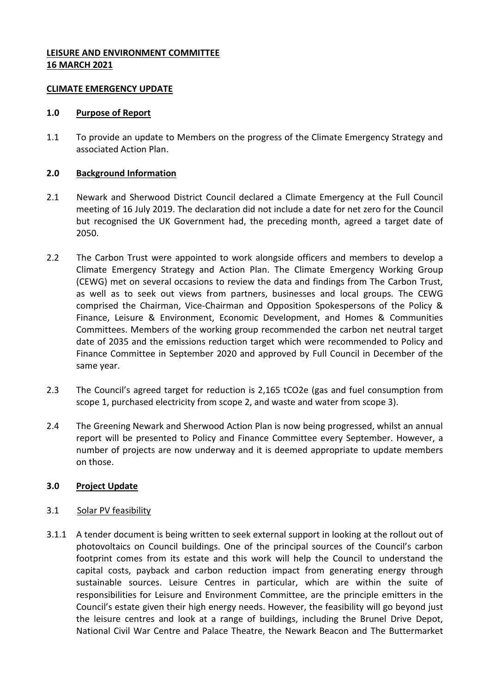## **LEISURE AND ENVIRONMENT COMMITTEE 16 MARCH 2021**

### **CLIMATE EMERGENCY UPDATE**

### **1.0 Purpose of Report**

1.1 To provide an update to Members on the progress of the Climate Emergency Strategy and associated Action Plan.

## **2.0 Background Information**

- 2.1 Newark and Sherwood District Council declared a Climate Emergency at the Full Council [meeting](https://democracy.newark-sherwooddc.gov.uk/ieListDocuments.aspx?CId=139&MId=311&Ver=4) of 16 July 2019. The declaration did not include a date for net zero for the Council but recognised the UK Government had, the preceding month, [agreed](https://www.gov.uk/government/news/uk-becomes-first-major-economy-to-pass-net-zero-emissions-law) a target date of 2050.
- 2.2 The Carbon Trust were appointed to work alongside officers and members to develop a Climate Emergency Strategy and Action Plan. The Climate Emergency Working Group (CEWG) met on several occasions to review the data and findings from The Carbon Trust, as well as to seek out views from partners, businesses and local groups. The CEWG comprised the Chairman, Vice-Chairman and Opposition Spokespersons of the Policy & Finance, Leisure & Environment, Economic Development, and Homes & Communities Committees. Members of the working group recommended the carbon net neutral target date of 2035 and the emissions reduction target which were recommended to Policy and Finance Committee in September 2020 and approved by Full Council in December of the same year.
- 2.3 The Council's agreed target for reduction is 2,165 tCO2e (gas and fuel consumption from scope 1, purchased electricity from scope 2, and waste and water from scope 3).
- 2.4 The Greening Newark and Sherwood Action Plan is now being progressed, whilst an annual report will be presented to Policy and Finance Committee every September. However, a number of projects are now underway and it is deemed appropriate to update members on those.

# **3.0 Project Update**

# 3.1 Solar PV feasibility

3.1.1 A tender document is being written to seek external support in looking at the rollout out of photovoltaics on Council buildings. One of the principal sources of the Council's carbon footprint comes from its estate and this work will help the Council to understand the capital costs, payback and carbon reduction impact from generating energy through sustainable sources. Leisure Centres in particular, which are within the suite of responsibilities for Leisure and Environment Committee, are the principle emitters in the Council's estate given their high energy needs. However, the feasibility will go beyond just the leisure centres and look at a range of buildings, including the Brunel Drive Depot, National Civil War Centre and Palace Theatre, the Newark Beacon and The Buttermarket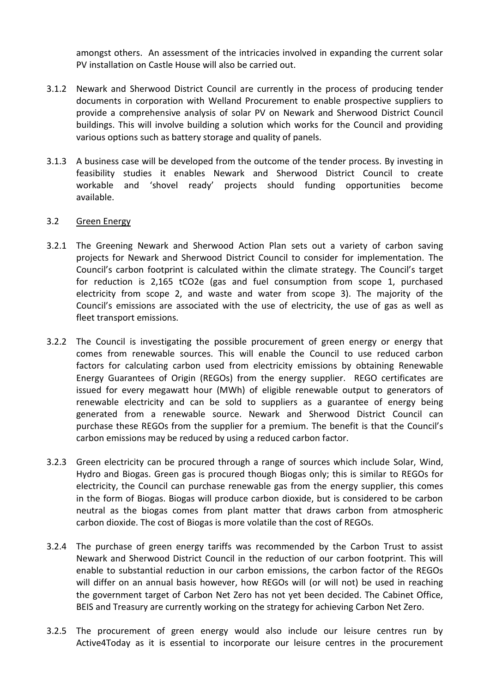amongst others. An assessment of the intricacies involved in expanding the current solar PV installation on Castle House will also be carried out.

- 3.1.2 Newark and Sherwood District Council are currently in the process of producing tender documents in corporation with Welland Procurement to enable prospective suppliers to provide a comprehensive analysis of solar PV on Newark and Sherwood District Council buildings. This will involve building a solution which works for the Council and providing various options such as battery storage and quality of panels.
- 3.1.3 A business case will be developed from the outcome of the tender process. By investing in feasibility studies it enables Newark and Sherwood District Council to create workable and 'shovel ready' projects should funding opportunities become available.

### 3.2 Green Energy

- 3.2.1 The Greening Newark and Sherwood Action Plan sets out a variety of carbon saving projects for Newark and Sherwood District Council to consider for implementation. The Council's carbon footprint is calculated within the climate strategy. The Council's target for reduction is 2,165 tCO2e (gas and fuel consumption from scope 1, purchased electricity from scope 2, and waste and water from scope 3). The majority of the Council's emissions are associated with the use of electricity, the use of gas as well as fleet transport emissions.
- 3.2.2 The Council is investigating the possible procurement of green energy or energy that comes from renewable sources. This will enable the Council to use reduced carbon factors for calculating carbon used from electricity emissions by obtaining Renewable Energy Guarantees of Origin (REGOs) from the energy supplier. REGO certificates are issued for every megawatt hour (MWh) of eligible renewable output to generators of renewable electricity and can be sold to suppliers as a guarantee of energy being generated from a renewable source. Newark and Sherwood District Council can purchase these REGOs from the supplier for a premium. The benefit is that the Council's carbon emissions may be reduced by using a reduced carbon factor.
- 3.2.3 Green electricity can be procured through a range of sources which include Solar, Wind, Hydro and Biogas. Green gas is procured though Biogas only; this is similar to REGOs for electricity, the Council can purchase renewable gas from the energy supplier, this comes in the form of Biogas. Biogas will produce carbon dioxide, but is considered to be carbon neutral as the biogas comes from plant matter that draws carbon from atmospheric carbon dioxide. The cost of Biogas is more volatile than the cost of REGOs.
- 3.2.4 The purchase of green energy tariffs was recommended by the Carbon Trust to assist Newark and Sherwood District Council in the reduction of our carbon footprint. This will enable to substantial reduction in our carbon emissions, the carbon factor of the REGOs will differ on an annual basis however, how REGOs will (or will not) be used in reaching the government target of Carbon Net Zero has not yet been decided. The Cabinet Office, BEIS and Treasury are currently working on the strategy for achieving Carbon Net Zero.
- 3.2.5 The procurement of green energy would also include our leisure centres run by Active4Today as it is essential to incorporate our leisure centres in the procurement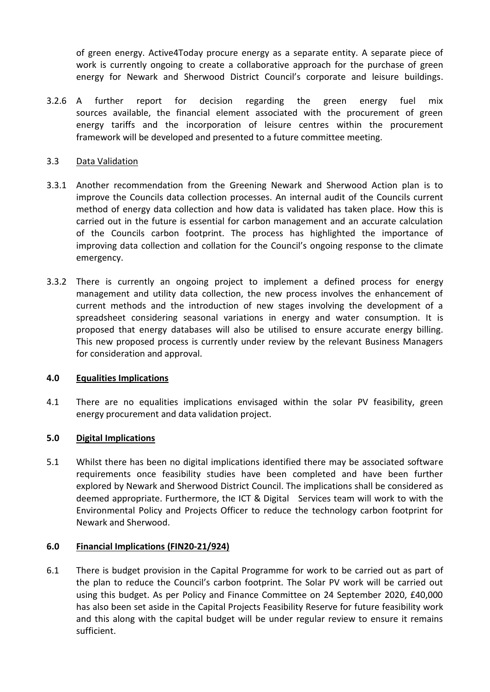of green energy. Active4Today procure energy as a separate entity. A separate piece of work is currently ongoing to create a collaborative approach for the purchase of green energy for Newark and Sherwood District Council's corporate and leisure buildings.

3.2.6 A further report for decision regarding the green energy fuel mix sources available, the financial element associated with the procurement of green energy tariffs and the incorporation of leisure centres within the procurement framework will be developed and presented to a future committee meeting.

## 3.3 Data Validation

- 3.3.1 Another recommendation from the Greening Newark and Sherwood Action plan is to improve the Councils data collection processes. An internal audit of the Councils current method of energy data collection and how data is validated has taken place. How this is carried out in the future is essential for carbon management and an accurate calculation of the Councils carbon footprint. The process has highlighted the importance of improving data collection and collation for the Council's ongoing response to the climate emergency.
- 3.3.2 There is currently an ongoing project to implement a defined process for energy management and utility data collection, the new process involves the enhancement of current methods and the introduction of new stages involving the development of a spreadsheet considering seasonal variations in energy and water consumption. It is proposed that energy databases will also be utilised to ensure accurate energy billing. This new proposed process is currently under review by the relevant Business Managers for consideration and approval.

### **4.0 Equalities Implications**

4.1 There are no equalities implications envisaged within the solar PV feasibility, green energy procurement and data validation project.

# **5.0 Digital Implications**

5.1 Whilst there has been no digital implications identified there may be associated software requirements once feasibility studies have been completed and have been further explored by Newark and Sherwood District Council. The implications shall be considered as deemed appropriate. Furthermore, the ICT & Digital Services team will work to with the Environmental Policy and Projects Officer to reduce the technology carbon footprint for Newark and Sherwood.

# **6.0 Financial Implications (FIN20-21/924)**

6.1 There is budget provision in the Capital Programme for work to be carried out as part of the plan to reduce the Council's carbon footprint. The Solar PV work will be carried out using this budget. As per Policy and Finance Committee on 24 September 2020, £40,000 has also been set aside in the Capital Projects Feasibility Reserve for future feasibility work and this along with the capital budget will be under regular review to ensure it remains sufficient.